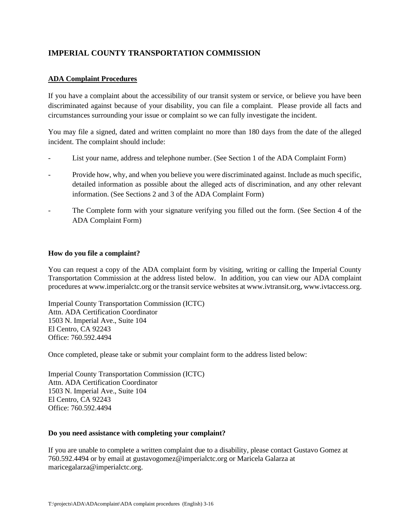# **IMPERIAL COUNTY TRANSPORTATION COMMISSION**

## **ADA Complaint Procedures**

If you have a complaint about the accessibility of our transit system or service, or believe you have been discriminated against because of your disability, you can file a complaint. Please provide all facts and circumstances surrounding your issue or complaint so we can fully investigate the incident.

You may file a signed, dated and written complaint no more than 180 days from the date of the alleged incident. The complaint should include:

- List your name, address and telephone number. (See Section 1 of the ADA Complaint Form)
- Provide how, why, and when you believe you were discriminated against. Include as much specific, detailed information as possible about the alleged acts of discrimination, and any other relevant information. (See Sections 2 and 3 of the ADA Complaint Form)
- The Complete form with your signature verifying you filled out the form. (See Section 4 of the ADA Complaint Form)

#### **How do you file a complaint?**

You can request a copy of the ADA complaint form by visiting, writing or calling the Imperial County Transportation Commission at the address listed below. In addition, you can view our ADA complaint procedures at www.imperialctc.org or the transit service websites at www.ivtransit.org, www.ivtaccess.org.

Imperial County Transportation Commission (ICTC) Attn. ADA Certification Coordinator 1503 N. Imperial Ave., Suite 104 El Centro, CA 92243 Office: 760.592.4494

Once completed, please take or submit your complaint form to the address listed below:

Imperial County Transportation Commission (ICTC) Attn. ADA Certification Coordinator 1503 N. Imperial Ave., Suite 104 El Centro, CA 92243 Office: 760.592.4494

#### **Do you need assistance with completing your complaint?**

If you are unable to complete a written complaint due to a disability, please contact Gustavo Gomez at 760.592.4494 or by email at gustavogomez@imperialctc.org or Maricela Galarza at maricegalarza@imperialctc.org.